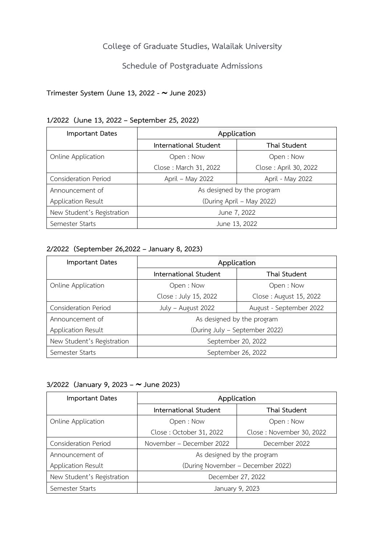## **College of Graduate Studies, Walailak University**

## **Schedule of Postgraduate Admissions**

## **Trimester System (June 13, 2022 - June 2023)**

### **1/2022 (June 13, 2022 – September 25, 2022)**

| <b>Important Dates</b>      | Application                |                       |  |
|-----------------------------|----------------------------|-----------------------|--|
|                             | International Student      | Thai Student          |  |
| Online Application          | Open: Now                  | Open: Now             |  |
|                             | Close: March 31, 2022      | Close: April 30, 2022 |  |
| <b>Consideration Period</b> | April – May 2022           | April - May 2022      |  |
| Announcement of             | As designed by the program |                       |  |
| Application Result          | (During April - May 2022)  |                       |  |
| New Student's Registration  | June 7, 2022               |                       |  |
| Semester Starts             | June 13, 2022              |                       |  |

### **2/2022 (September 26,2022 – January 8, 2023)**

| <b>Important Dates</b>      | Application                    |                         |
|-----------------------------|--------------------------------|-------------------------|
|                             | International Student          | Thai Student            |
| Online Application          | Open: Now                      | Open: Now               |
|                             | Close: July 15, 2022           | Close: August 15, 2022  |
| <b>Consideration Period</b> | July - August 2022             | August - September 2022 |
| Announcement of             | As designed by the program     |                         |
| Application Result          | (During July - September 2022) |                         |
| New Student's Registration  | September 20, 2022             |                         |
| Semester Starts             | September 26, 2022             |                         |

#### **3/2022 (January 9, 2023 – June 2023)**

| <b>Important Dates</b>      | Application                       |                          |
|-----------------------------|-----------------------------------|--------------------------|
|                             | International Student             | Thai Student             |
| Online Application          | Open: Now                         | Open: Now                |
|                             | Close: October 31, 2022           | Close: November 30, 2022 |
| <b>Consideration Period</b> | November – December 2022          | December 2022            |
| Announcement of             | As designed by the program        |                          |
| Application Result          | (During November - December 2022) |                          |
| New Student's Registration  | December 27, 2022                 |                          |
| Semester Starts             | January 9, 2023                   |                          |